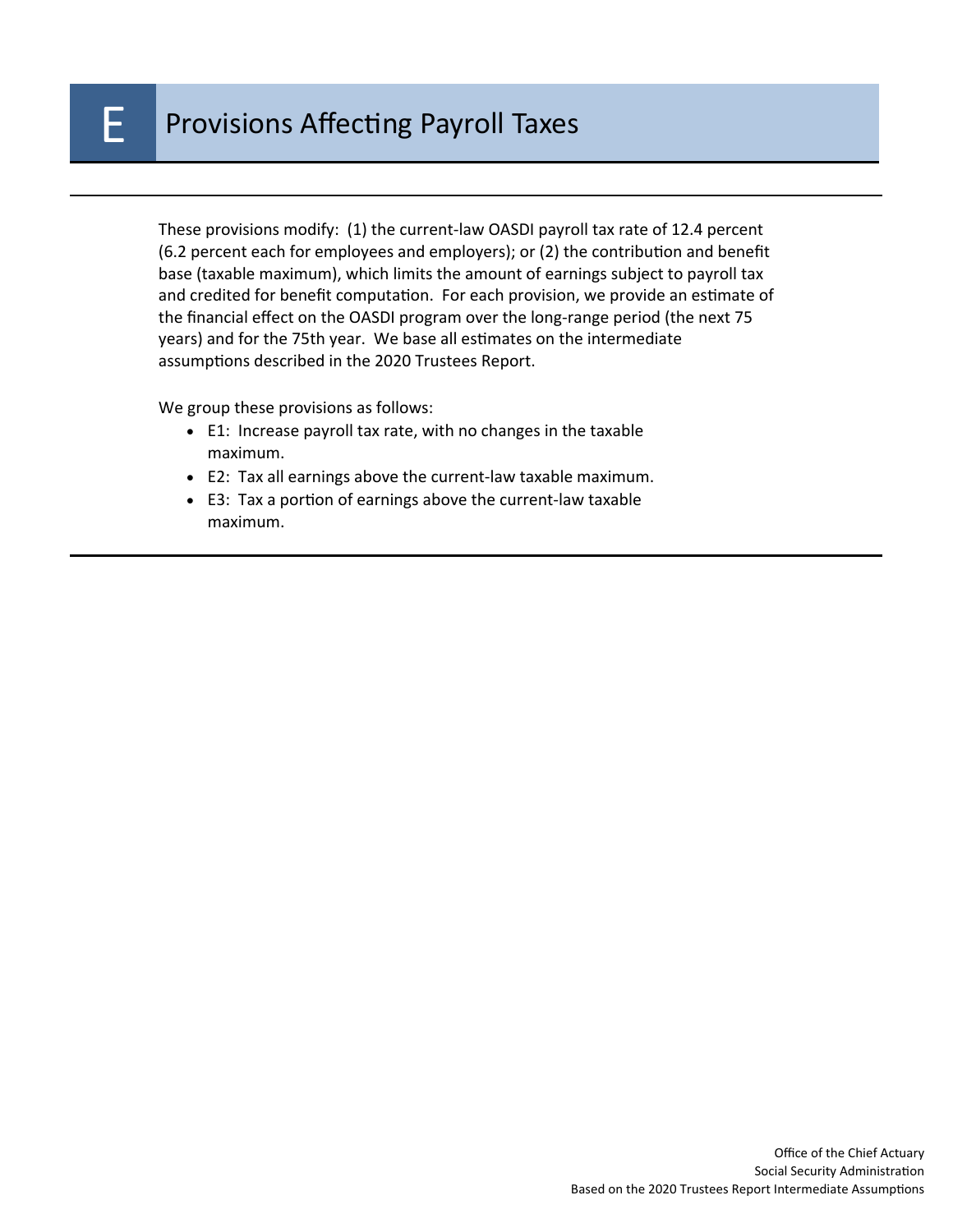These provisions modify: (1) the current-law OASDI payroll tax rate of 12.4 percent (6.2 percent each for employees and employers); or (2) the contribution and benefit base (taxable maximum), which limits the amount of earnings subject to payroll tax and credited for benefit computation. For each provision, we provide an estimate of the financial effect on the OASDI program over the long-range period (the next 75 years) and for the 75th year. We base all estimates on the intermediate assumptions described in the 2020 Trustees Report.

We group these provisions as follows:

- E1: Increase payroll tax rate, with no changes in the taxable maximum.
- E2: Tax all earnings above the current-law taxable maximum.
- E3: Tax a portion of earnings above the current-law taxable maximum.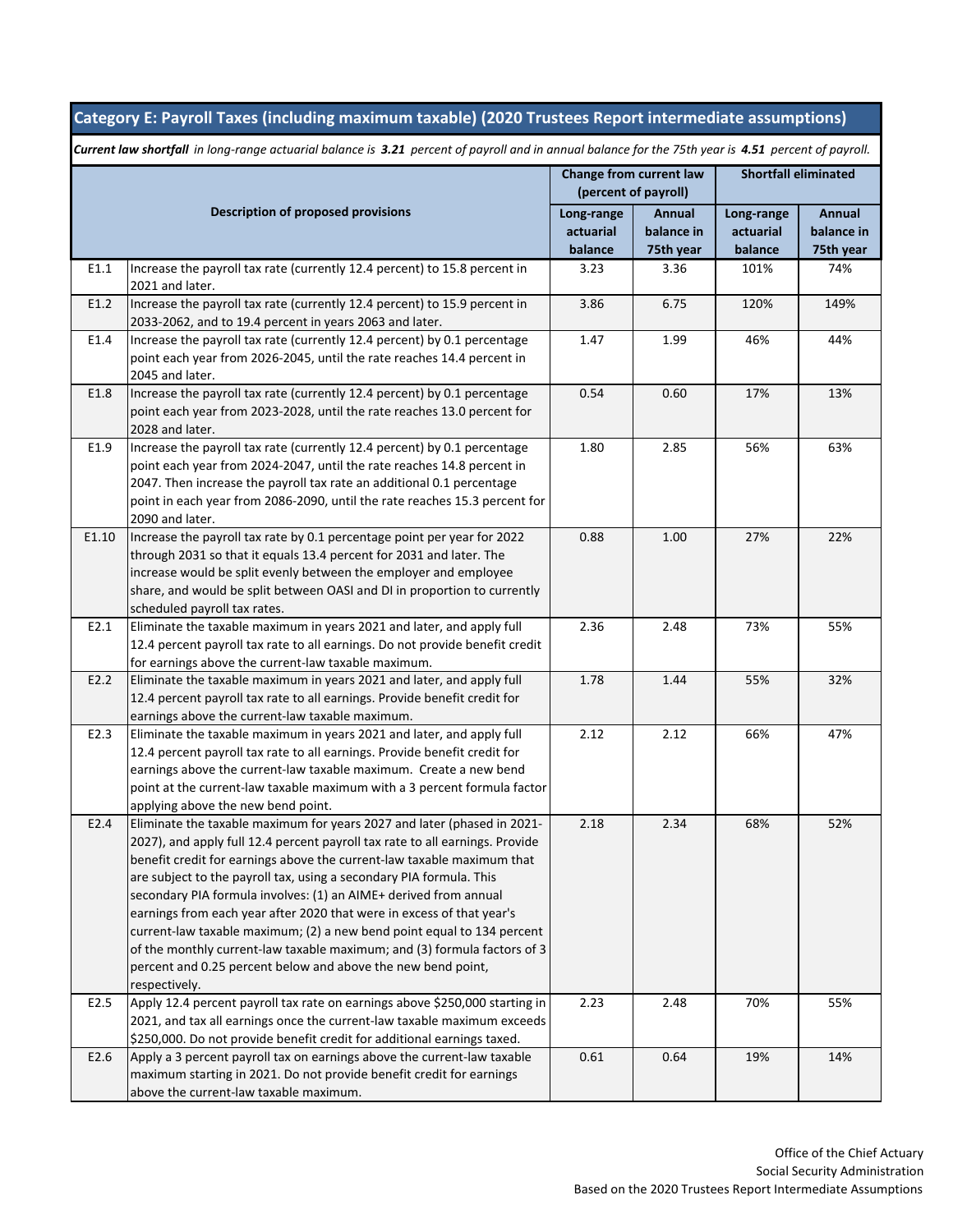## **Category E: Payroll Taxes (including maximum taxable) (2020 Trustees Report intermediate assumptions)**

| <b>Description of proposed provisions</b> |                                                                                                                                                 | Change from current law<br>(percent of payroll) |                      | <b>Shortfall eliminated</b> |                      |
|-------------------------------------------|-------------------------------------------------------------------------------------------------------------------------------------------------|-------------------------------------------------|----------------------|-----------------------------|----------------------|
|                                           |                                                                                                                                                 |                                                 |                      |                             |                      |
|                                           |                                                                                                                                                 | Long-range<br>actuarial                         | Annual<br>balance in | Long-range<br>actuarial     | Annual<br>balance in |
|                                           |                                                                                                                                                 | balance                                         | 75th year            | balance                     | 75th year            |
| E1.1                                      | Increase the payroll tax rate (currently 12.4 percent) to 15.8 percent in                                                                       | 3.23                                            | 3.36                 | 101%                        | 74%                  |
|                                           | 2021 and later.                                                                                                                                 |                                                 |                      |                             |                      |
| E1.2                                      | Increase the payroll tax rate (currently 12.4 percent) to 15.9 percent in                                                                       | 3.86                                            | 6.75                 | 120%                        | 149%                 |
|                                           | 2033-2062, and to 19.4 percent in years 2063 and later.                                                                                         |                                                 |                      |                             |                      |
| E1.4                                      | Increase the payroll tax rate (currently 12.4 percent) by 0.1 percentage                                                                        | 1.47                                            | 1.99                 | 46%                         | 44%                  |
|                                           | point each year from 2026-2045, until the rate reaches 14.4 percent in                                                                          |                                                 |                      |                             |                      |
|                                           | 2045 and later.                                                                                                                                 |                                                 |                      |                             |                      |
| E1.8                                      | Increase the payroll tax rate (currently 12.4 percent) by 0.1 percentage                                                                        | 0.54                                            | 0.60                 | 17%                         | 13%                  |
|                                           | point each year from 2023-2028, until the rate reaches 13.0 percent for<br>2028 and later.                                                      |                                                 |                      |                             |                      |
| E1.9                                      | Increase the payroll tax rate (currently 12.4 percent) by 0.1 percentage                                                                        | 1.80                                            | 2.85                 | 56%                         | 63%                  |
|                                           | point each year from 2024-2047, until the rate reaches 14.8 percent in                                                                          |                                                 |                      |                             |                      |
|                                           | 2047. Then increase the payroll tax rate an additional 0.1 percentage                                                                           |                                                 |                      |                             |                      |
|                                           | point in each year from 2086-2090, until the rate reaches 15.3 percent for                                                                      |                                                 |                      |                             |                      |
|                                           | 2090 and later.                                                                                                                                 |                                                 |                      |                             |                      |
| E1.10                                     | Increase the payroll tax rate by 0.1 percentage point per year for 2022                                                                         | 0.88                                            | 1.00                 | 27%                         | 22%                  |
|                                           | through 2031 so that it equals 13.4 percent for 2031 and later. The                                                                             |                                                 |                      |                             |                      |
|                                           | increase would be split evenly between the employer and employee                                                                                |                                                 |                      |                             |                      |
|                                           | share, and would be split between OASI and DI in proportion to currently                                                                        |                                                 |                      |                             |                      |
|                                           | scheduled payroll tax rates.                                                                                                                    |                                                 |                      |                             |                      |
| E2.1                                      | Eliminate the taxable maximum in years 2021 and later, and apply full                                                                           | 2.36                                            | 2.48                 | 73%                         | 55%                  |
|                                           | 12.4 percent payroll tax rate to all earnings. Do not provide benefit credit                                                                    |                                                 |                      |                             |                      |
| E2.2                                      | for earnings above the current-law taxable maximum.<br>Eliminate the taxable maximum in years 2021 and later, and apply full                    | 1.78                                            | 1.44                 | 55%                         | 32%                  |
|                                           | 12.4 percent payroll tax rate to all earnings. Provide benefit credit for                                                                       |                                                 |                      |                             |                      |
|                                           | earnings above the current-law taxable maximum.                                                                                                 |                                                 |                      |                             |                      |
| E2.3                                      | Eliminate the taxable maximum in years 2021 and later, and apply full                                                                           | 2.12                                            | 2.12                 | 66%                         | 47%                  |
|                                           | 12.4 percent payroll tax rate to all earnings. Provide benefit credit for                                                                       |                                                 |                      |                             |                      |
|                                           | earnings above the current-law taxable maximum. Create a new bend                                                                               |                                                 |                      |                             |                      |
|                                           | point at the current-law taxable maximum with a 3 percent formula factor                                                                        |                                                 |                      |                             |                      |
|                                           | applying above the new bend point.                                                                                                              |                                                 |                      |                             |                      |
| E2.4                                      | Eliminate the taxable maximum for years 2027 and later (phased in 2021-                                                                         | 2.18                                            | 2.34                 | 68%                         | 52%                  |
|                                           | 2027), and apply full 12.4 percent payroll tax rate to all earnings. Provide                                                                    |                                                 |                      |                             |                      |
|                                           | benefit credit for earnings above the current-law taxable maximum that                                                                          |                                                 |                      |                             |                      |
|                                           | are subject to the payroll tax, using a secondary PIA formula. This                                                                             |                                                 |                      |                             |                      |
|                                           | secondary PIA formula involves: (1) an AIME+ derived from annual                                                                                |                                                 |                      |                             |                      |
|                                           | earnings from each year after 2020 that were in excess of that year's<br>current-law taxable maximum; (2) a new bend point equal to 134 percent |                                                 |                      |                             |                      |
|                                           | of the monthly current-law taxable maximum; and (3) formula factors of 3                                                                        |                                                 |                      |                             |                      |
|                                           | percent and 0.25 percent below and above the new bend point,                                                                                    |                                                 |                      |                             |                      |
|                                           | respectively.                                                                                                                                   |                                                 |                      |                             |                      |
| E2.5                                      | Apply 12.4 percent payroll tax rate on earnings above \$250,000 starting in                                                                     | 2.23                                            | 2.48                 | 70%                         | 55%                  |
|                                           | 2021, and tax all earnings once the current-law taxable maximum exceeds                                                                         |                                                 |                      |                             |                      |
|                                           | \$250,000. Do not provide benefit credit for additional earnings taxed.                                                                         |                                                 |                      |                             |                      |
| E2.6                                      | Apply a 3 percent payroll tax on earnings above the current-law taxable                                                                         | 0.61                                            | 0.64                 | 19%                         | 14%                  |
|                                           | maximum starting in 2021. Do not provide benefit credit for earnings                                                                            |                                                 |                      |                             |                      |
|                                           | above the current-law taxable maximum.                                                                                                          |                                                 |                      |                             |                      |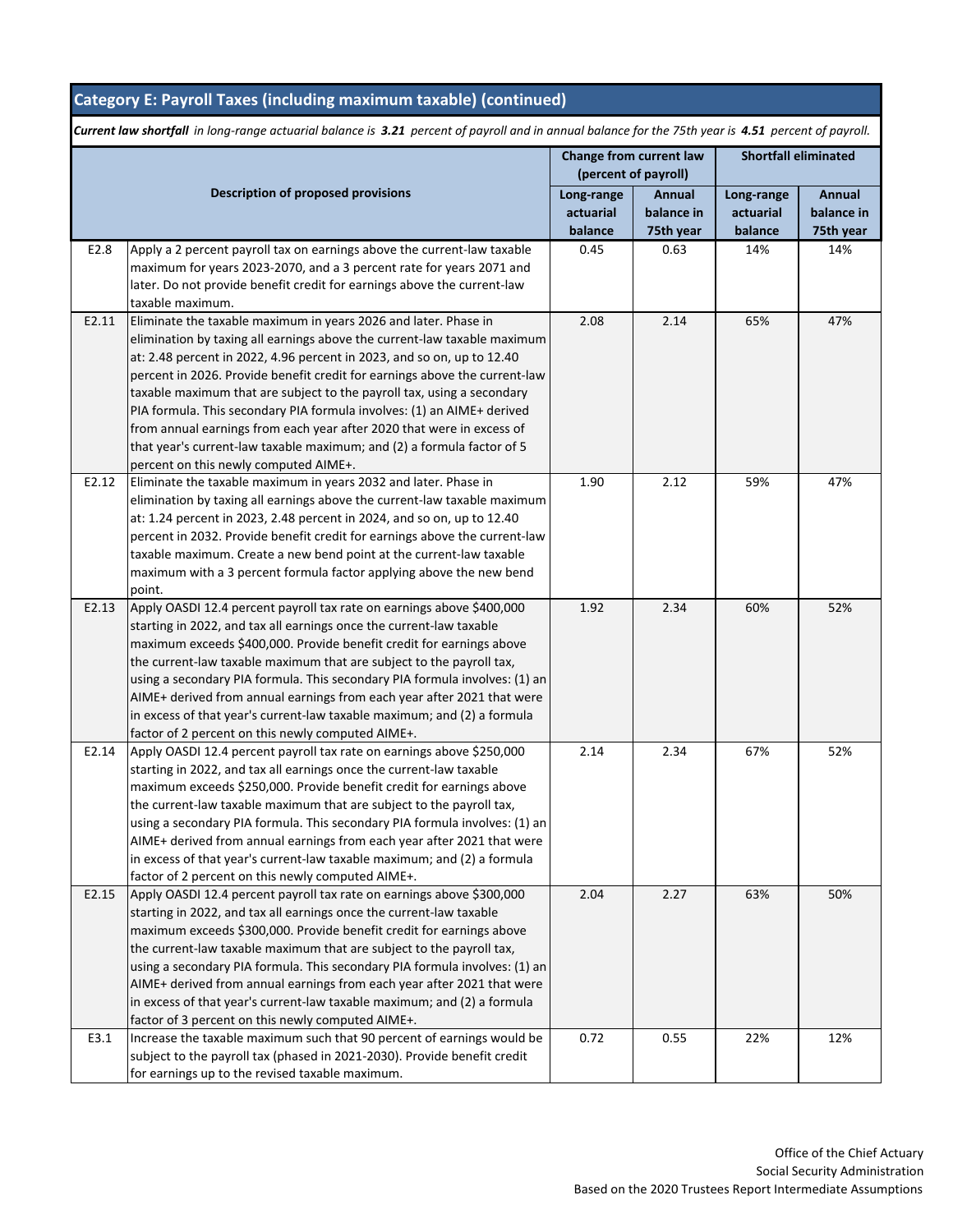## **Category E: Payroll Taxes (including maximum taxable) (continued)**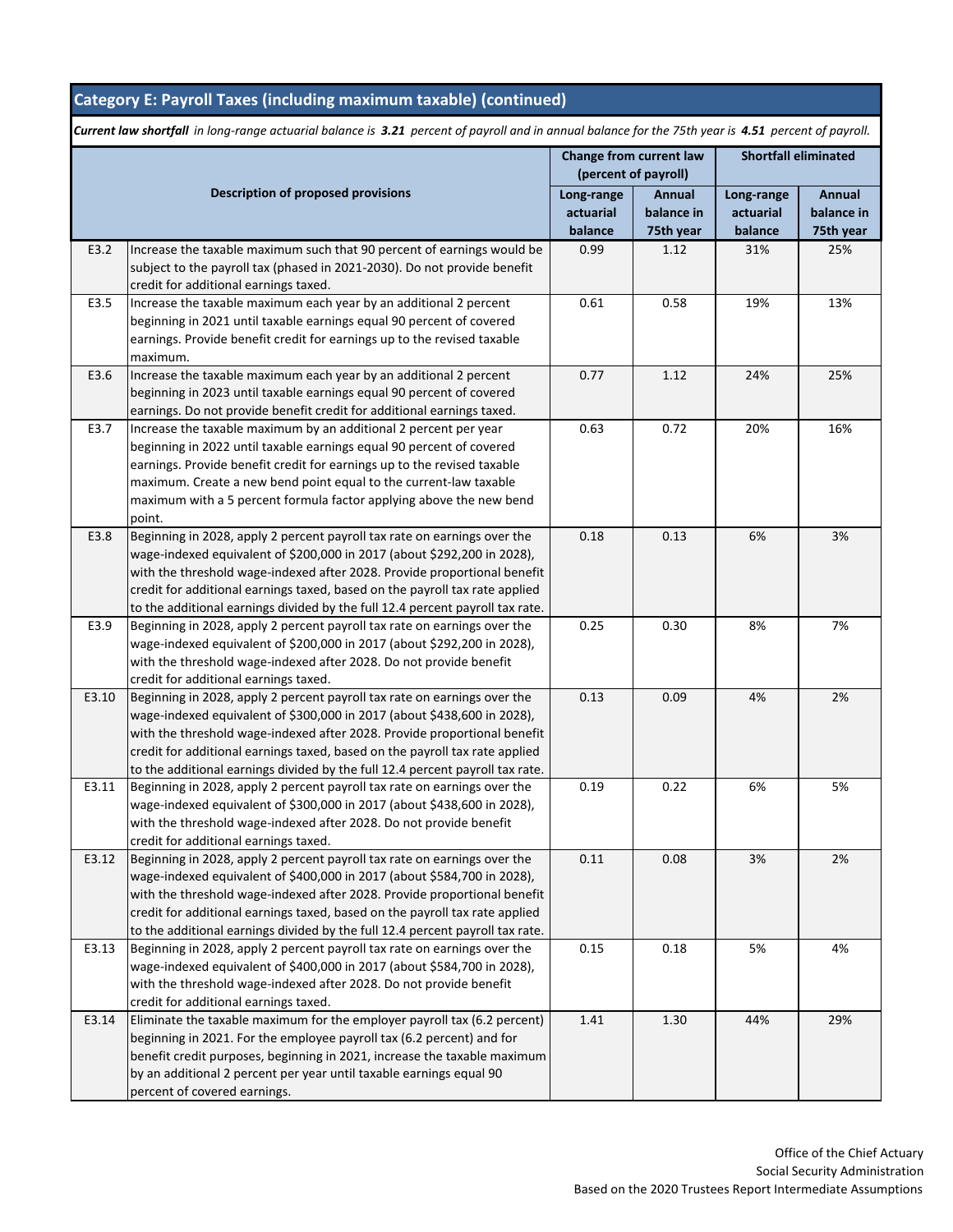## **Category E: Payroll Taxes (including maximum taxable) (continued)**

|       | <b>Description of proposed provisions</b>                                                                                                           |                         | Change from current law |                         | <b>Shortfall eliminated</b> |  |
|-------|-----------------------------------------------------------------------------------------------------------------------------------------------------|-------------------------|-------------------------|-------------------------|-----------------------------|--|
|       |                                                                                                                                                     |                         | (percent of payroll)    |                         | Annual                      |  |
|       |                                                                                                                                                     | Long-range<br>actuarial | Annual<br>balance in    | Long-range<br>actuarial | balance in                  |  |
|       |                                                                                                                                                     | balance                 | 75th year               | balance                 | 75th year                   |  |
| E3.2  | Increase the taxable maximum such that 90 percent of earnings would be                                                                              | 0.99                    | 1.12                    | 31%                     | 25%                         |  |
|       | subject to the payroll tax (phased in 2021-2030). Do not provide benefit                                                                            |                         |                         |                         |                             |  |
|       | credit for additional earnings taxed.                                                                                                               |                         |                         |                         |                             |  |
| E3.5  | Increase the taxable maximum each year by an additional 2 percent                                                                                   | 0.61                    | 0.58                    | 19%                     | 13%                         |  |
|       | beginning in 2021 until taxable earnings equal 90 percent of covered                                                                                |                         |                         |                         |                             |  |
|       | earnings. Provide benefit credit for earnings up to the revised taxable                                                                             |                         |                         |                         |                             |  |
|       | maximum.                                                                                                                                            |                         |                         |                         |                             |  |
| E3.6  | Increase the taxable maximum each year by an additional 2 percent                                                                                   | 0.77                    | 1.12                    | 24%                     | 25%                         |  |
|       | beginning in 2023 until taxable earnings equal 90 percent of covered<br>earnings. Do not provide benefit credit for additional earnings taxed.      |                         |                         |                         |                             |  |
| E3.7  | Increase the taxable maximum by an additional 2 percent per year                                                                                    | 0.63                    | 0.72                    | 20%                     | 16%                         |  |
|       | beginning in 2022 until taxable earnings equal 90 percent of covered                                                                                |                         |                         |                         |                             |  |
|       | earnings. Provide benefit credit for earnings up to the revised taxable                                                                             |                         |                         |                         |                             |  |
|       | maximum. Create a new bend point equal to the current-law taxable                                                                                   |                         |                         |                         |                             |  |
|       | maximum with a 5 percent formula factor applying above the new bend                                                                                 |                         |                         |                         |                             |  |
|       | point.                                                                                                                                              |                         |                         |                         |                             |  |
| E3.8  | Beginning in 2028, apply 2 percent payroll tax rate on earnings over the                                                                            | 0.18                    | 0.13                    | 6%                      | 3%                          |  |
|       | wage-indexed equivalent of \$200,000 in 2017 (about \$292,200 in 2028),                                                                             |                         |                         |                         |                             |  |
|       | with the threshold wage-indexed after 2028. Provide proportional benefit                                                                            |                         |                         |                         |                             |  |
|       | credit for additional earnings taxed, based on the payroll tax rate applied                                                                         |                         |                         |                         |                             |  |
|       | to the additional earnings divided by the full 12.4 percent payroll tax rate.                                                                       |                         |                         |                         |                             |  |
| E3.9  | Beginning in 2028, apply 2 percent payroll tax rate on earnings over the                                                                            | 0.25                    | 0.30                    | 8%                      | 7%                          |  |
|       | wage-indexed equivalent of \$200,000 in 2017 (about \$292,200 in 2028),                                                                             |                         |                         |                         |                             |  |
|       | with the threshold wage-indexed after 2028. Do not provide benefit<br>credit for additional earnings taxed.                                         |                         |                         |                         |                             |  |
| E3.10 | Beginning in 2028, apply 2 percent payroll tax rate on earnings over the                                                                            | 0.13                    | 0.09                    | 4%                      | 2%                          |  |
|       | wage-indexed equivalent of \$300,000 in 2017 (about \$438,600 in 2028),                                                                             |                         |                         |                         |                             |  |
|       | with the threshold wage-indexed after 2028. Provide proportional benefit                                                                            |                         |                         |                         |                             |  |
|       | credit for additional earnings taxed, based on the payroll tax rate applied                                                                         |                         |                         |                         |                             |  |
|       | to the additional earnings divided by the full 12.4 percent payroll tax rate.                                                                       |                         |                         |                         |                             |  |
| E3.11 | Beginning in 2028, apply 2 percent payroll tax rate on earnings over the                                                                            | 0.19                    | 0.22                    | 6%                      | 5%                          |  |
|       | wage-indexed equivalent of \$300,000 in 2017 (about \$438,600 in 2028),                                                                             |                         |                         |                         |                             |  |
|       | with the threshold wage-indexed after 2028. Do not provide benefit                                                                                  |                         |                         |                         |                             |  |
|       | credit for additional earnings taxed.                                                                                                               |                         |                         |                         |                             |  |
| E3.12 | Beginning in 2028, apply 2 percent payroll tax rate on earnings over the                                                                            | 0.11                    | 0.08                    | 3%                      | 2%                          |  |
|       | wage-indexed equivalent of \$400,000 in 2017 (about \$584,700 in 2028),<br>with the threshold wage-indexed after 2028. Provide proportional benefit |                         |                         |                         |                             |  |
|       | credit for additional earnings taxed, based on the payroll tax rate applied                                                                         |                         |                         |                         |                             |  |
|       | to the additional earnings divided by the full 12.4 percent payroll tax rate.                                                                       |                         |                         |                         |                             |  |
| E3.13 | Beginning in 2028, apply 2 percent payroll tax rate on earnings over the                                                                            | 0.15                    | 0.18                    | 5%                      | 4%                          |  |
|       | wage-indexed equivalent of \$400,000 in 2017 (about \$584,700 in 2028),                                                                             |                         |                         |                         |                             |  |
|       | with the threshold wage-indexed after 2028. Do not provide benefit                                                                                  |                         |                         |                         |                             |  |
|       | credit for additional earnings taxed.                                                                                                               |                         |                         |                         |                             |  |
| E3.14 | Eliminate the taxable maximum for the employer payroll tax (6.2 percent)                                                                            | 1.41                    | 1.30                    | 44%                     | 29%                         |  |
|       | beginning in 2021. For the employee payroll tax (6.2 percent) and for                                                                               |                         |                         |                         |                             |  |
|       | benefit credit purposes, beginning in 2021, increase the taxable maximum                                                                            |                         |                         |                         |                             |  |
|       | by an additional 2 percent per year until taxable earnings equal 90                                                                                 |                         |                         |                         |                             |  |
|       | percent of covered earnings.                                                                                                                        |                         |                         |                         |                             |  |